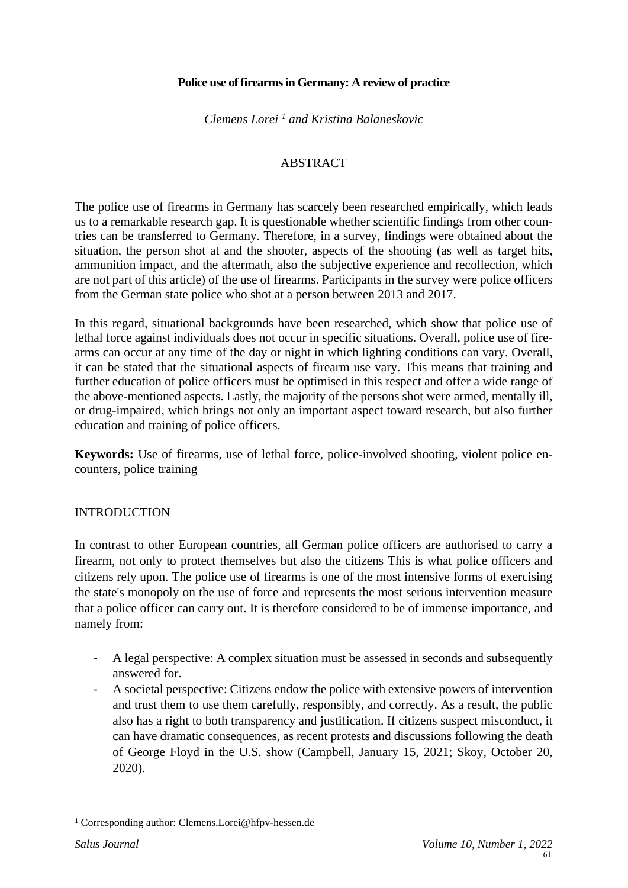## **Police use of firearms in Germany: A review of practice**

*Clemens Lorei <sup>1</sup> and Kristina Balaneskovic*

## **ABSTRACT**

The police use of firearms in Germany has scarcely been researched empirically, which leads us to a remarkable research gap. It is questionable whether scientific findings from other countries can be transferred to Germany. Therefore, in a survey, findings were obtained about the situation, the person shot at and the shooter, aspects of the shooting (as well as target hits, ammunition impact, and the aftermath, also the subjective experience and recollection, which are not part of this article) of the use of firearms. Participants in the survey were police officers from the German state police who shot at a person between 2013 and 2017.

In this regard, situational backgrounds have been researched, which show that police use of lethal force against individuals does not occur in specific situations. Overall, police use of firearms can occur at any time of the day or night in which lighting conditions can vary. Overall, it can be stated that the situational aspects of firearm use vary. This means that training and further education of police officers must be optimised in this respect and offer a wide range of the above-mentioned aspects. Lastly, the majority of the persons shot were armed, mentally ill, or drug-impaired, which brings not only an important aspect toward research, but also further education and training of police officers.

**Keywords:** Use of firearms, use of lethal force, police-involved shooting, violent police encounters, police training

#### INTRODUCTION

In contrast to other European countries, all German police officers are authorised to carry a firearm, not only to protect themselves but also the citizens This is what police officers and citizens rely upon. The police use of firearms is one of the most intensive forms of exercising the state's monopoly on the use of force and represents the most serious intervention measure that a police officer can carry out. It is therefore considered to be of immense importance, and namely from:

- A legal perspective: A complex situation must be assessed in seconds and subsequently answered for.
- A societal perspective: Citizens endow the police with extensive powers of intervention and trust them to use them carefully, responsibly, and correctly. As a result, the public also has a right to both transparency and justification. If citizens suspect misconduct, it can have dramatic consequences, as recent protests and discussions following the death of George Floyd in the U.S. show (Campbell, January 15, 2021; Skoy, October 20, 2020).

<sup>1</sup> Corresponding author: Clemens.Lorei@hfpv-hessen.de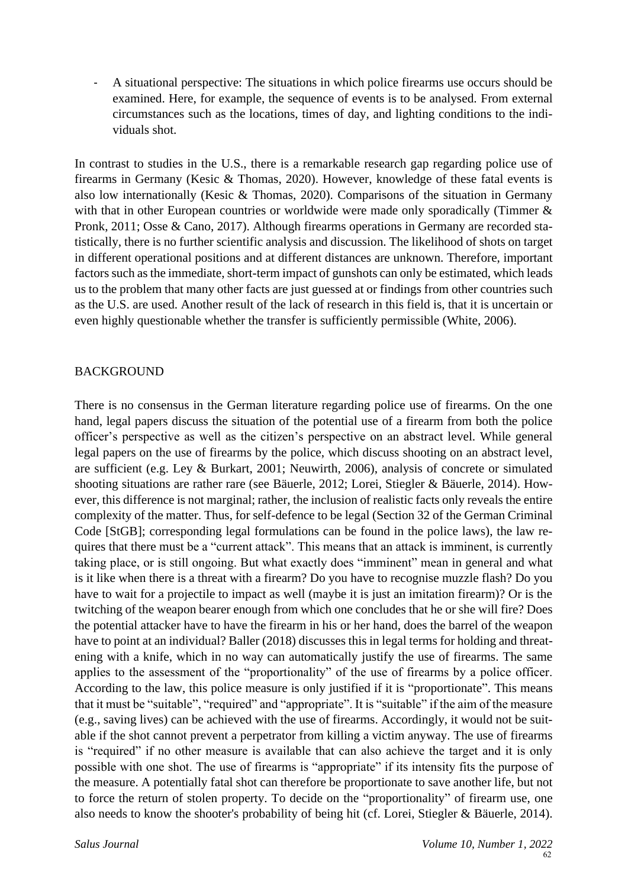- A situational perspective: The situations in which police firearms use occurs should be examined. Here, for example, the sequence of events is to be analysed. From external circumstances such as the locations, times of day, and lighting conditions to the individuals shot.

In contrast to studies in the U.S., there is a remarkable research gap regarding police use of firearms in Germany (Kesic & Thomas, 2020). However, knowledge of these fatal events is also low internationally (Kesic & Thomas, 2020). Comparisons of the situation in Germany with that in other European countries or worldwide were made only sporadically (Timmer & Pronk, 2011; Osse & Cano, 2017). Although firearms operations in Germany are recorded statistically, there is no further scientific analysis and discussion. The likelihood of shots on target in different operational positions and at different distances are unknown. Therefore, important factors such as the immediate, short-term impact of gunshots can only be estimated, which leads us to the problem that many other facts are just guessed at or findings from other countries such as the U.S. are used. Another result of the lack of research in this field is, that it is uncertain or even highly questionable whether the transfer is sufficiently permissible (White, 2006).

## BACKGROUND

There is no consensus in the German literature regarding police use of firearms. On the one hand, legal papers discuss the situation of the potential use of a firearm from both the police officer's perspective as well as the citizen's perspective on an abstract level. While general legal papers on the use of firearms by the police, which discuss shooting on an abstract level, are sufficient (e.g. Ley & Burkart, 2001; Neuwirth, 2006), analysis of concrete or simulated shooting situations are rather rare (see Bäuerle, 2012; Lorei, Stiegler & Bäuerle, 2014). However, this difference is not marginal; rather, the inclusion of realistic facts only reveals the entire complexity of the matter. Thus, for self-defence to be legal (Section 32 of the German Criminal Code [StGB]; corresponding legal formulations can be found in the police laws), the law requires that there must be a "current attack". This means that an attack is imminent, is currently taking place, or is still ongoing. But what exactly does "imminent" mean in general and what is it like when there is a threat with a firearm? Do you have to recognise muzzle flash? Do you have to wait for a projectile to impact as well (maybe it is just an imitation firearm)? Or is the twitching of the weapon bearer enough from which one concludes that he or she will fire? Does the potential attacker have to have the firearm in his or her hand, does the barrel of the weapon have to point at an individual? Baller (2018) discusses this in legal terms for holding and threatening with a knife, which in no way can automatically justify the use of firearms. The same applies to the assessment of the "proportionality" of the use of firearms by a police officer. According to the law, this police measure is only justified if it is "proportionate". This means that it must be "suitable", "required" and "appropriate". It is "suitable" if the aim of the measure (e.g., saving lives) can be achieved with the use of firearms. Accordingly, it would not be suitable if the shot cannot prevent a perpetrator from killing a victim anyway. The use of firearms is "required" if no other measure is available that can also achieve the target and it is only possible with one shot. The use of firearms is "appropriate" if its intensity fits the purpose of the measure. A potentially fatal shot can therefore be proportionate to save another life, but not to force the return of stolen property. To decide on the "proportionality" of firearm use, one also needs to know the shooter's probability of being hit (cf. Lorei, Stiegler & Bäuerle, 2014).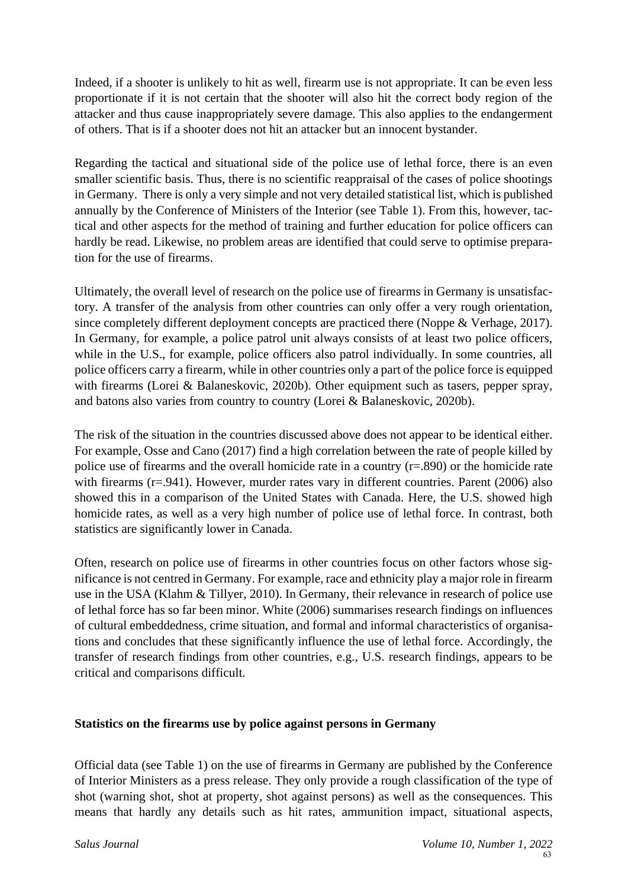Indeed, if a shooter is unlikely to hit as well, firearm use is not appropriate. It can be even less proportionate if it is not certain that the shooter will also hit the correct body region of the attacker and thus cause inappropriately severe damage. This also applies to the endangerment of others. That is if a shooter does not hit an attacker but an innocent bystander.

Regarding the tactical and situational side of the police use of lethal force, there is an even smaller scientific basis. Thus, there is no scientific reappraisal of the cases of police shootings in Germany. There is only a very simple and not very detailed statistical list, which is published annually by the Conference of Ministers of the Interior (see Table 1). From this, however, tactical and other aspects for the method of training and further education for police officers can hardly be read. Likewise, no problem areas are identified that could serve to optimise preparation for the use of firearms.

Ultimately, the overall level of research on the police use of firearms in Germany is unsatisfactory. A transfer of the analysis from other countries can only offer a very rough orientation, since completely different deployment concepts are practiced there (Noppe & Verhage, 2017). In Germany, for example, a police patrol unit always consists of at least two police officers, while in the U.S., for example, police officers also patrol individually. In some countries, all police officers carry a firearm, while in other countries only a part of the police force is equipped with firearms (Lorei & Balaneskovic, 2020b). Other equipment such as tasers, pepper spray, and batons also varies from country to country (Lorei & Balaneskovic, 2020b).

The risk of the situation in the countries discussed above does not appear to be identical either. For example, Osse and Cano (2017) find a high correlation between the rate of people killed by police use of firearms and the overall homicide rate in a country (r=.890) or the homicide rate with firearms (r=.941). However, murder rates vary in different countries. Parent (2006) also showed this in a comparison of the United States with Canada. Here, the U.S. showed high homicide rates, as well as a very high number of police use of lethal force. In contrast, both statistics are significantly lower in Canada.

Often, research on police use of firearms in other countries focus on other factors whose significance is not centred in Germany. For example, race and ethnicity play a major role in firearm use in the USA (Klahm & Tillyer, 2010). In Germany, their relevance in research of police use of lethal force has so far been minor. White (2006) summarises research findings on influences of cultural embeddedness, crime situation, and formal and informal characteristics of organisations and concludes that these significantly influence the use of lethal force. Accordingly, the transfer of research findings from other countries, e.g., U.S. research findings, appears to be critical and comparisons difficult.

#### **Statistics on the firearms use by police against persons in Germany**

Official data (see Table 1) on the use of firearms in Germany are published by the Conference of Interior Ministers as a press release. They only provide a rough classification of the type of shot (warning shot, shot at property, shot against persons) as well as the consequences. This means that hardly any details such as hit rates, ammunition impact, situational aspects,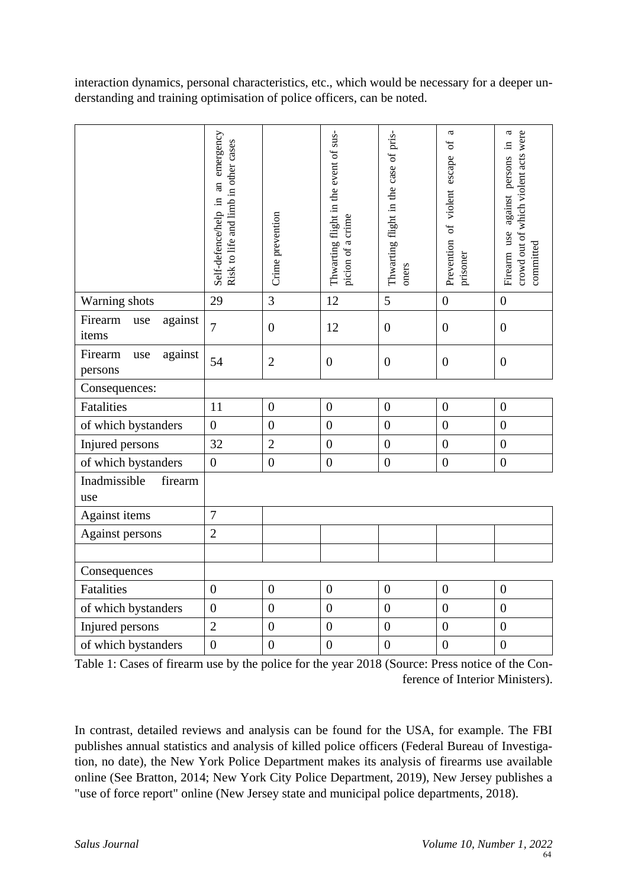interaction dynamics, personal characteristics, etc., which would be necessary for a deeper understanding and training optimisation of police officers, can be noted.

|                                      | Self-defence/help in an emergency<br>Risk to life and limb in other cases | Crime prevention | Thwarting flight in the event of sus-<br>picion of a crime | Thwarting flight in the case of pris-<br>oners | a<br>Prevention of violent escape of<br>prisoner | crowd out of which violent acts were<br>a<br>Firearm use against persons in<br>committed |
|--------------------------------------|---------------------------------------------------------------------------|------------------|------------------------------------------------------------|------------------------------------------------|--------------------------------------------------|------------------------------------------------------------------------------------------|
| Warning shots                        | 29                                                                        | 3                | 12                                                         | 5                                              | $\overline{0}$                                   | $\boldsymbol{0}$                                                                         |
| Firearm<br>against<br>use<br>items   | $\overline{7}$                                                            | $\overline{0}$   | 12                                                         | $\boldsymbol{0}$                               | $\overline{0}$                                   | $\overline{0}$                                                                           |
| Firearm<br>against<br>use<br>persons | 54                                                                        | $\overline{2}$   | $\boldsymbol{0}$                                           | $\boldsymbol{0}$                               | $\boldsymbol{0}$                                 | $\boldsymbol{0}$                                                                         |
| Consequences:                        |                                                                           |                  |                                                            |                                                |                                                  |                                                                                          |
| Fatalities                           | 11                                                                        | $\boldsymbol{0}$ | $\overline{0}$                                             | $\boldsymbol{0}$                               | $\boldsymbol{0}$                                 | $\boldsymbol{0}$                                                                         |
| of which bystanders                  | $\overline{0}$                                                            | $\overline{0}$   | $\overline{0}$                                             | $\overline{0}$                                 | $\overline{0}$                                   | $\overline{0}$                                                                           |
| Injured persons                      | 32                                                                        | $\overline{2}$   | $\overline{0}$                                             | $\overline{0}$                                 | $\overline{0}$                                   | $\mathbf{0}$                                                                             |
| of which bystanders                  | $\boldsymbol{0}$                                                          | $\overline{0}$   | $\boldsymbol{0}$                                           | $\boldsymbol{0}$                               | $\overline{0}$                                   | $\boldsymbol{0}$                                                                         |
| Inadmissible<br>firearm<br>use       |                                                                           |                  |                                                            |                                                |                                                  |                                                                                          |
| Against items                        | $\overline{7}$                                                            |                  |                                                            |                                                |                                                  |                                                                                          |
| Against persons                      | $\overline{2}$                                                            |                  |                                                            |                                                |                                                  |                                                                                          |
|                                      |                                                                           |                  |                                                            |                                                |                                                  |                                                                                          |
| Consequences                         |                                                                           |                  |                                                            |                                                |                                                  |                                                                                          |
| Fatalities                           | $\overline{0}$                                                            | $\overline{0}$   | $\overline{0}$                                             | $\boldsymbol{0}$                               | $\boldsymbol{0}$                                 | $\boldsymbol{0}$                                                                         |
| of which bystanders                  | $\boldsymbol{0}$                                                          | $\overline{0}$   | $\overline{0}$                                             | $\overline{0}$                                 | $\boldsymbol{0}$                                 | $\overline{0}$                                                                           |
| Injured persons                      | $\overline{2}$                                                            | $\boldsymbol{0}$ | $\boldsymbol{0}$                                           | $\boldsymbol{0}$                               | $\boldsymbol{0}$                                 | $\boldsymbol{0}$                                                                         |
| of which bystanders                  | $\overline{0}$                                                            | $\boldsymbol{0}$ | $\overline{0}$                                             | $\boldsymbol{0}$                               | $\overline{0}$                                   | $\boldsymbol{0}$                                                                         |

Table 1: Cases of firearm use by the police for the year 2018 (Source: Press notice of the Conference of Interior Ministers).

In contrast, detailed reviews and analysis can be found for the USA, for example. The FBI publishes annual statistics and analysis of killed police officers (Federal Bureau of Investigation, no date), the New York Police Department makes its analysis of firearms use available online (See Bratton, 2014; New York City Police Department, 2019), New Jersey publishes a "use of force report" online (New Jersey state and municipal police departments, 2018).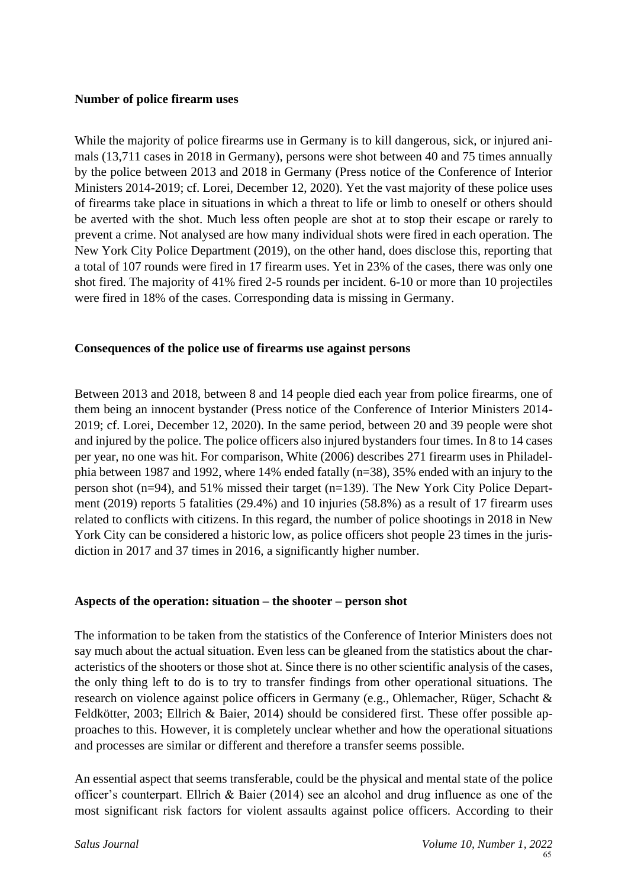#### **Number of police firearm uses**

While the majority of police firearms use in Germany is to kill dangerous, sick, or injured animals (13,711 cases in 2018 in Germany), persons were shot between 40 and 75 times annually by the police between 2013 and 2018 in Germany (Press notice of the Conference of Interior Ministers 2014-2019; cf. Lorei, December 12, 2020). Yet the vast majority of these police uses of firearms take place in situations in which a threat to life or limb to oneself or others should be averted with the shot. Much less often people are shot at to stop their escape or rarely to prevent a crime. Not analysed are how many individual shots were fired in each operation. The New York City Police Department (2019), on the other hand, does disclose this, reporting that a total of 107 rounds were fired in 17 firearm uses. Yet in 23% of the cases, there was only one shot fired. The majority of 41% fired 2-5 rounds per incident. 6-10 or more than 10 projectiles were fired in 18% of the cases. Corresponding data is missing in Germany.

#### **Consequences of the police use of firearms use against persons**

Between 2013 and 2018, between 8 and 14 people died each year from police firearms, one of them being an innocent bystander (Press notice of the Conference of Interior Ministers 2014- 2019; cf. Lorei, December 12, 2020). In the same period, between 20 and 39 people were shot and injured by the police. The police officers also injured bystanders four times. In 8 to 14 cases per year, no one was hit. For comparison, White (2006) describes 271 firearm uses in Philadelphia between 1987 and 1992, where 14% ended fatally (n=38), 35% ended with an injury to the person shot (n=94), and 51% missed their target (n=139). The New York City Police Department (2019) reports 5 fatalities (29.4%) and 10 injuries (58.8%) as a result of 17 firearm uses related to conflicts with citizens. In this regard, the number of police shootings in 2018 in New York City can be considered a historic low, as police officers shot people 23 times in the jurisdiction in 2017 and 37 times in 2016, a significantly higher number.

#### **Aspects of the operation: situation – the shooter – person shot**

The information to be taken from the statistics of the Conference of Interior Ministers does not say much about the actual situation. Even less can be gleaned from the statistics about the characteristics of the shooters or those shot at. Since there is no other scientific analysis of the cases, the only thing left to do is to try to transfer findings from other operational situations. The research on violence against police officers in Germany (e.g., Ohlemacher, Rüger, Schacht & Feldkötter, 2003; Ellrich & Baier, 2014) should be considered first. These offer possible approaches to this. However, it is completely unclear whether and how the operational situations and processes are similar or different and therefore a transfer seems possible.

An essential aspect that seems transferable, could be the physical and mental state of the police officer's counterpart. Ellrich & Baier (2014) see an alcohol and drug influence as one of the most significant risk factors for violent assaults against police officers. According to their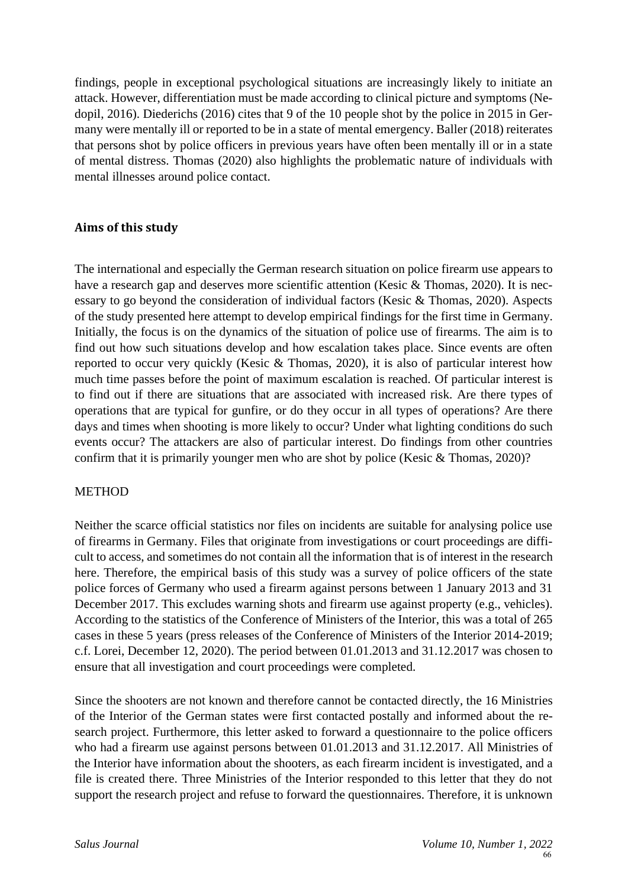findings, people in exceptional psychological situations are increasingly likely to initiate an attack. However, differentiation must be made according to clinical picture and symptoms (Nedopil, 2016). Diederichs (2016) cites that 9 of the 10 people shot by the police in 2015 in Germany were mentally ill or reported to be in a state of mental emergency. Baller (2018) reiterates that persons shot by police officers in previous years have often been mentally ill or in a state of mental distress. Thomas (2020) also highlights the problematic nature of individuals with mental illnesses around police contact.

## **Aims of this study**

The international and especially the German research situation on police firearm use appears to have a research gap and deserves more scientific attention (Kesic & Thomas, 2020). It is necessary to go beyond the consideration of individual factors (Kesic & Thomas, 2020). Aspects of the study presented here attempt to develop empirical findings for the first time in Germany. Initially, the focus is on the dynamics of the situation of police use of firearms. The aim is to find out how such situations develop and how escalation takes place. Since events are often reported to occur very quickly (Kesic & Thomas, 2020), it is also of particular interest how much time passes before the point of maximum escalation is reached. Of particular interest is to find out if there are situations that are associated with increased risk. Are there types of operations that are typical for gunfire, or do they occur in all types of operations? Are there days and times when shooting is more likely to occur? Under what lighting conditions do such events occur? The attackers are also of particular interest. Do findings from other countries confirm that it is primarily younger men who are shot by police (Kesic & Thomas, 2020)?

## METHOD

Neither the scarce official statistics nor files on incidents are suitable for analysing police use of firearms in Germany. Files that originate from investigations or court proceedings are difficult to access, and sometimes do not contain all the information that is of interest in the research here. Therefore, the empirical basis of this study was a survey of police officers of the state police forces of Germany who used a firearm against persons between 1 January 2013 and 31 December 2017. This excludes warning shots and firearm use against property (e.g., vehicles). According to the statistics of the Conference of Ministers of the Interior, this was a total of 265 cases in these 5 years (press releases of the Conference of Ministers of the Interior 2014-2019; c.f. Lorei, December 12, 2020). The period between 01.01.2013 and 31.12.2017 was chosen to ensure that all investigation and court proceedings were completed.

Since the shooters are not known and therefore cannot be contacted directly, the 16 Ministries of the Interior of the German states were first contacted postally and informed about the research project. Furthermore, this letter asked to forward a questionnaire to the police officers who had a firearm use against persons between 01.01.2013 and 31.12.2017. All Ministries of the Interior have information about the shooters, as each firearm incident is investigated, and a file is created there. Three Ministries of the Interior responded to this letter that they do not support the research project and refuse to forward the questionnaires. Therefore, it is unknown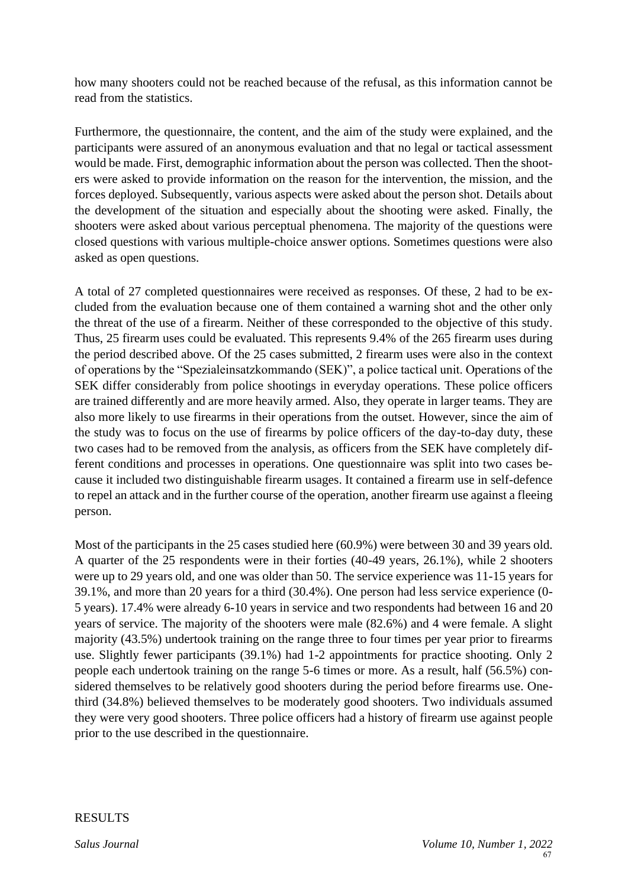how many shooters could not be reached because of the refusal, as this information cannot be read from the statistics.

Furthermore, the questionnaire, the content, and the aim of the study were explained, and the participants were assured of an anonymous evaluation and that no legal or tactical assessment would be made. First, demographic information about the person was collected. Then the shooters were asked to provide information on the reason for the intervention, the mission, and the forces deployed. Subsequently, various aspects were asked about the person shot. Details about the development of the situation and especially about the shooting were asked. Finally, the shooters were asked about various perceptual phenomena. The majority of the questions were closed questions with various multiple-choice answer options. Sometimes questions were also asked as open questions.

A total of 27 completed questionnaires were received as responses. Of these, 2 had to be excluded from the evaluation because one of them contained a warning shot and the other only the threat of the use of a firearm. Neither of these corresponded to the objective of this study. Thus, 25 firearm uses could be evaluated. This represents 9.4% of the 265 firearm uses during the period described above. Of the 25 cases submitted, 2 firearm uses were also in the context of operations by the "Spezialeinsatzkommando (SEK)", a police tactical unit. Operations of the SEK differ considerably from police shootings in everyday operations. These police officers are trained differently and are more heavily armed. Also, they operate in larger teams. They are also more likely to use firearms in their operations from the outset. However, since the aim of the study was to focus on the use of firearms by police officers of the day-to-day duty, these two cases had to be removed from the analysis, as officers from the SEK have completely different conditions and processes in operations. One questionnaire was split into two cases because it included two distinguishable firearm usages. It contained a firearm use in self-defence to repel an attack and in the further course of the operation, another firearm use against a fleeing person.

Most of the participants in the 25 cases studied here (60.9%) were between 30 and 39 years old. A quarter of the 25 respondents were in their forties (40-49 years, 26.1%), while 2 shooters were up to 29 years old, and one was older than 50. The service experience was 11-15 years for 39.1%, and more than 20 years for a third (30.4%). One person had less service experience (0- 5 years). 17.4% were already 6-10 years in service and two respondents had between 16 and 20 years of service. The majority of the shooters were male (82.6%) and 4 were female. A slight majority (43.5%) undertook training on the range three to four times per year prior to firearms use. Slightly fewer participants (39.1%) had 1-2 appointments for practice shooting. Only 2 people each undertook training on the range 5-6 times or more. As a result, half (56.5%) considered themselves to be relatively good shooters during the period before firearms use. Onethird (34.8%) believed themselves to be moderately good shooters. Two individuals assumed they were very good shooters. Three police officers had a history of firearm use against people prior to the use described in the questionnaire.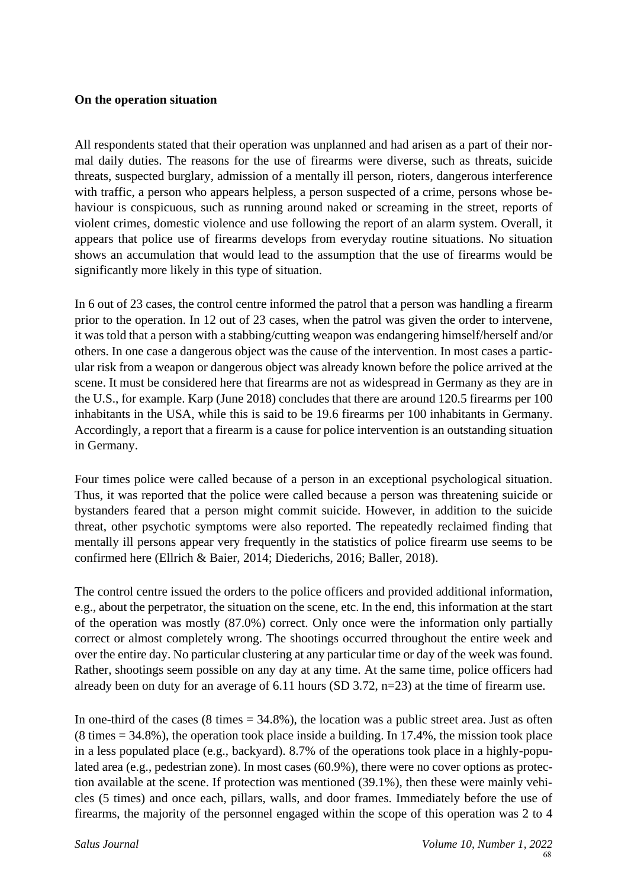#### **On the operation situation**

All respondents stated that their operation was unplanned and had arisen as a part of their normal daily duties. The reasons for the use of firearms were diverse, such as threats, suicide threats, suspected burglary, admission of a mentally ill person, rioters, dangerous interference with traffic, a person who appears helpless, a person suspected of a crime, persons whose behaviour is conspicuous, such as running around naked or screaming in the street, reports of violent crimes, domestic violence and use following the report of an alarm system. Overall, it appears that police use of firearms develops from everyday routine situations. No situation shows an accumulation that would lead to the assumption that the use of firearms would be significantly more likely in this type of situation.

In 6 out of 23 cases, the control centre informed the patrol that a person was handling a firearm prior to the operation. In 12 out of 23 cases, when the patrol was given the order to intervene, it was told that a person with a stabbing/cutting weapon was endangering himself/herself and/or others. In one case a dangerous object was the cause of the intervention. In most cases a particular risk from a weapon or dangerous object was already known before the police arrived at the scene. It must be considered here that firearms are not as widespread in Germany as they are in the U.S., for example. Karp (June 2018) concludes that there are around 120.5 firearms per 100 inhabitants in the USA, while this is said to be 19.6 firearms per 100 inhabitants in Germany. Accordingly, a report that a firearm is a cause for police intervention is an outstanding situation in Germany.

Four times police were called because of a person in an exceptional psychological situation. Thus, it was reported that the police were called because a person was threatening suicide or bystanders feared that a person might commit suicide. However, in addition to the suicide threat, other psychotic symptoms were also reported. The repeatedly reclaimed finding that mentally ill persons appear very frequently in the statistics of police firearm use seems to be confirmed here (Ellrich & Baier, 2014; Diederichs, 2016; Baller, 2018).

The control centre issued the orders to the police officers and provided additional information, e.g., about the perpetrator, the situation on the scene, etc. In the end, this information at the start of the operation was mostly (87.0%) correct. Only once were the information only partially correct or almost completely wrong. The shootings occurred throughout the entire week and over the entire day. No particular clustering at any particular time or day of the week was found. Rather, shootings seem possible on any day at any time. At the same time, police officers had already been on duty for an average of 6.11 hours (SD 3.72, n=23) at the time of firearm use.

In one-third of the cases  $(8 \text{ times} = 34.8\%)$ , the location was a public street area. Just as often  $(8 \text{ times} = 34.8\%)$ , the operation took place inside a building. In 17.4%, the mission took place in a less populated place (e.g., backyard). 8.7% of the operations took place in a highly-populated area (e.g., pedestrian zone). In most cases (60.9%), there were no cover options as protection available at the scene. If protection was mentioned (39.1%), then these were mainly vehicles (5 times) and once each, pillars, walls, and door frames. Immediately before the use of firearms, the majority of the personnel engaged within the scope of this operation was 2 to 4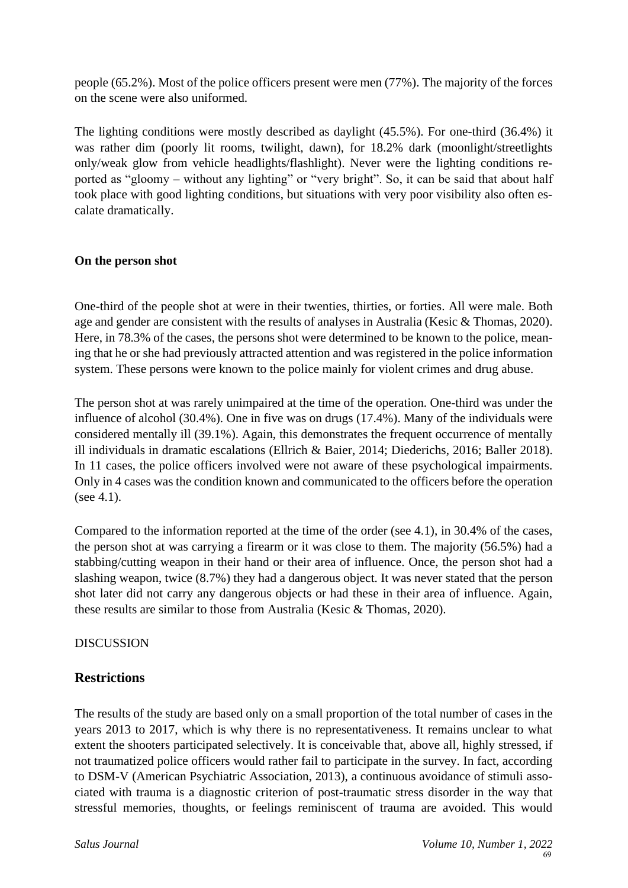people (65.2%). Most of the police officers present were men (77%). The majority of the forces on the scene were also uniformed.

The lighting conditions were mostly described as daylight (45.5%). For one-third (36.4%) it was rather dim (poorly lit rooms, twilight, dawn), for 18.2% dark (moonlight/streetlights only/weak glow from vehicle headlights/flashlight). Never were the lighting conditions reported as "gloomy – without any lighting" or "very bright". So, it can be said that about half took place with good lighting conditions, but situations with very poor visibility also often escalate dramatically.

## **On the person shot**

One-third of the people shot at were in their twenties, thirties, or forties. All were male. Both age and gender are consistent with the results of analyses in Australia (Kesic & Thomas, 2020). Here, in 78.3% of the cases, the persons shot were determined to be known to the police, meaning that he or she had previously attracted attention and was registered in the police information system. These persons were known to the police mainly for violent crimes and drug abuse.

The person shot at was rarely unimpaired at the time of the operation. One-third was under the influence of alcohol (30.4%). One in five was on drugs (17.4%). Many of the individuals were considered mentally ill (39.1%). Again, this demonstrates the frequent occurrence of mentally ill individuals in dramatic escalations (Ellrich & Baier, 2014; Diederichs, 2016; Baller 2018). In 11 cases, the police officers involved were not aware of these psychological impairments. Only in 4 cases was the condition known and communicated to the officers before the operation (see 4.1).

Compared to the information reported at the time of the order (see 4.1), in 30.4% of the cases, the person shot at was carrying a firearm or it was close to them. The majority (56.5%) had a stabbing/cutting weapon in their hand or their area of influence. Once, the person shot had a slashing weapon, twice (8.7%) they had a dangerous object. It was never stated that the person shot later did not carry any dangerous objects or had these in their area of influence. Again, these results are similar to those from Australia (Kesic & Thomas, 2020).

**DISCUSSION** 

## **Restrictions**

The results of the study are based only on a small proportion of the total number of cases in the years 2013 to 2017, which is why there is no representativeness. It remains unclear to what extent the shooters participated selectively. It is conceivable that, above all, highly stressed, if not traumatized police officers would rather fail to participate in the survey. In fact, according to DSM-V (American Psychiatric Association, 2013), a continuous avoidance of stimuli associated with trauma is a diagnostic criterion of post-traumatic stress disorder in the way that stressful memories, thoughts, or feelings reminiscent of trauma are avoided. This would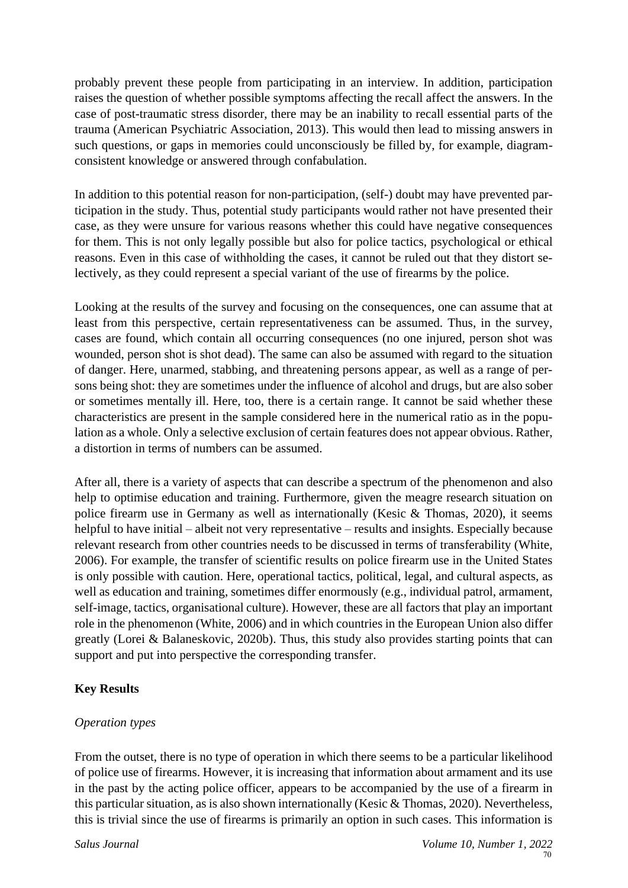probably prevent these people from participating in an interview. In addition, participation raises the question of whether possible symptoms affecting the recall affect the answers. In the case of post-traumatic stress disorder, there may be an inability to recall essential parts of the trauma (American Psychiatric Association, 2013). This would then lead to missing answers in such questions, or gaps in memories could unconsciously be filled by, for example, diagramconsistent knowledge or answered through confabulation.

In addition to this potential reason for non-participation, (self-) doubt may have prevented participation in the study. Thus, potential study participants would rather not have presented their case, as they were unsure for various reasons whether this could have negative consequences for them. This is not only legally possible but also for police tactics, psychological or ethical reasons. Even in this case of withholding the cases, it cannot be ruled out that they distort selectively, as they could represent a special variant of the use of firearms by the police.

Looking at the results of the survey and focusing on the consequences, one can assume that at least from this perspective, certain representativeness can be assumed. Thus, in the survey, cases are found, which contain all occurring consequences (no one injured, person shot was wounded, person shot is shot dead). The same can also be assumed with regard to the situation of danger. Here, unarmed, stabbing, and threatening persons appear, as well as a range of persons being shot: they are sometimes under the influence of alcohol and drugs, but are also sober or sometimes mentally ill. Here, too, there is a certain range. It cannot be said whether these characteristics are present in the sample considered here in the numerical ratio as in the population as a whole. Only a selective exclusion of certain features does not appear obvious. Rather, a distortion in terms of numbers can be assumed.

After all, there is a variety of aspects that can describe a spectrum of the phenomenon and also help to optimise education and training. Furthermore, given the meagre research situation on police firearm use in Germany as well as internationally (Kesic & Thomas, 2020), it seems helpful to have initial – albeit not very representative – results and insights. Especially because relevant research from other countries needs to be discussed in terms of transferability (White, 2006). For example, the transfer of scientific results on police firearm use in the United States is only possible with caution. Here, operational tactics, political, legal, and cultural aspects, as well as education and training, sometimes differ enormously (e.g., individual patrol, armament, self-image, tactics, organisational culture). However, these are all factors that play an important role in the phenomenon (White, 2006) and in which countries in the European Union also differ greatly (Lorei & Balaneskovic, 2020b). Thus, this study also provides starting points that can support and put into perspective the corresponding transfer.

# **Key Results**

## *Operation types*

From the outset, there is no type of operation in which there seems to be a particular likelihood of police use of firearms. However, it is increasing that information about armament and its use in the past by the acting police officer, appears to be accompanied by the use of a firearm in this particular situation, as is also shown internationally (Kesic & Thomas, 2020). Nevertheless, this is trivial since the use of firearms is primarily an option in such cases. This information is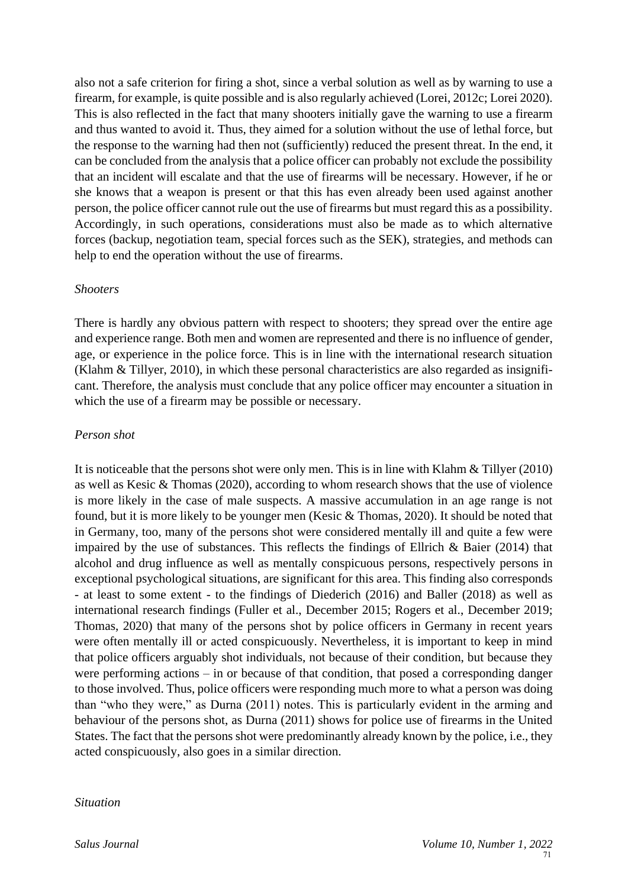also not a safe criterion for firing a shot, since a verbal solution as well as by warning to use a firearm, for example, is quite possible and is also regularly achieved (Lorei, 2012c; Lorei 2020). This is also reflected in the fact that many shooters initially gave the warning to use a firearm and thus wanted to avoid it. Thus, they aimed for a solution without the use of lethal force, but the response to the warning had then not (sufficiently) reduced the present threat. In the end, it can be concluded from the analysis that a police officer can probably not exclude the possibility that an incident will escalate and that the use of firearms will be necessary. However, if he or she knows that a weapon is present or that this has even already been used against another person, the police officer cannot rule out the use of firearms but must regard this as a possibility. Accordingly, in such operations, considerations must also be made as to which alternative forces (backup, negotiation team, special forces such as the SEK), strategies, and methods can help to end the operation without the use of firearms.

#### *Shooters*

There is hardly any obvious pattern with respect to shooters; they spread over the entire age and experience range. Both men and women are represented and there is no influence of gender, age, or experience in the police force. This is in line with the international research situation (Klahm & Tillyer, 2010), in which these personal characteristics are also regarded as insignificant. Therefore, the analysis must conclude that any police officer may encounter a situation in which the use of a firearm may be possible or necessary.

## *Person shot*

It is noticeable that the persons shot were only men. This is in line with Klahm & Tillyer (2010) as well as Kesic & Thomas (2020), according to whom research shows that the use of violence is more likely in the case of male suspects. A massive accumulation in an age range is not found, but it is more likely to be younger men (Kesic & Thomas, 2020). It should be noted that in Germany, too, many of the persons shot were considered mentally ill and quite a few were impaired by the use of substances. This reflects the findings of Ellrich & Baier (2014) that alcohol and drug influence as well as mentally conspicuous persons, respectively persons in exceptional psychological situations, are significant for this area. This finding also corresponds - at least to some extent - to the findings of Diederich (2016) and Baller (2018) as well as international research findings (Fuller et al., December 2015; Rogers et al., December 2019; Thomas, 2020) that many of the persons shot by police officers in Germany in recent years were often mentally ill or acted conspicuously. Nevertheless, it is important to keep in mind that police officers arguably shot individuals, not because of their condition, but because they were performing actions – in or because of that condition, that posed a corresponding danger to those involved. Thus, police officers were responding much more to what a person was doing than "who they were," as Durna (2011) notes. This is particularly evident in the arming and behaviour of the persons shot, as Durna (2011) shows for police use of firearms in the United States. The fact that the persons shot were predominantly already known by the police, i.e., they acted conspicuously, also goes in a similar direction.

#### *Situation*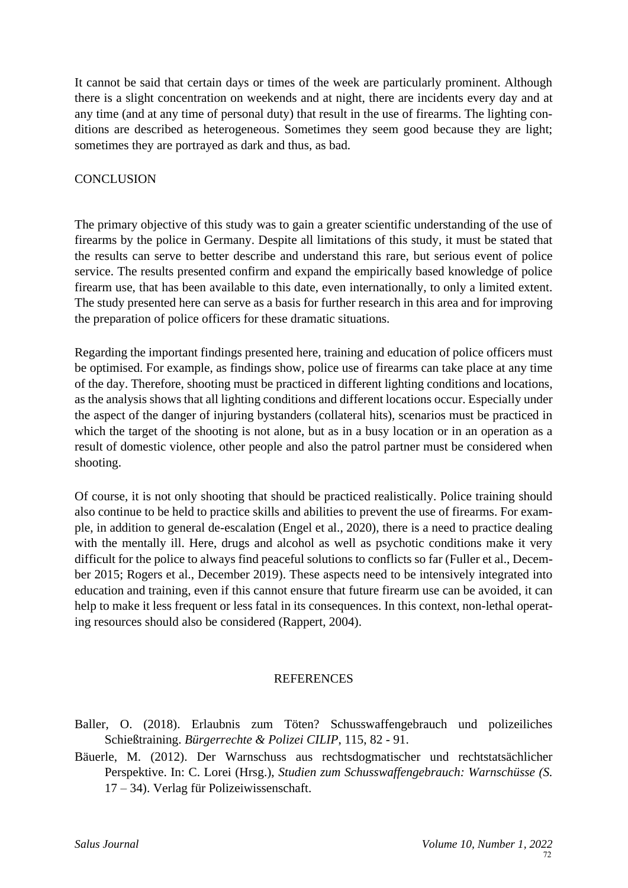It cannot be said that certain days or times of the week are particularly prominent. Although there is a slight concentration on weekends and at night, there are incidents every day and at any time (and at any time of personal duty) that result in the use of firearms. The lighting conditions are described as heterogeneous. Sometimes they seem good because they are light; sometimes they are portrayed as dark and thus, as bad.

# **CONCLUSION**

The primary objective of this study was to gain a greater scientific understanding of the use of firearms by the police in Germany. Despite all limitations of this study, it must be stated that the results can serve to better describe and understand this rare, but serious event of police service. The results presented confirm and expand the empirically based knowledge of police firearm use, that has been available to this date, even internationally, to only a limited extent. The study presented here can serve as a basis for further research in this area and for improving the preparation of police officers for these dramatic situations.

Regarding the important findings presented here, training and education of police officers must be optimised. For example, as findings show, police use of firearms can take place at any time of the day. Therefore, shooting must be practiced in different lighting conditions and locations, as the analysis shows that all lighting conditions and different locations occur. Especially under the aspect of the danger of injuring bystanders (collateral hits), scenarios must be practiced in which the target of the shooting is not alone, but as in a busy location or in an operation as a result of domestic violence, other people and also the patrol partner must be considered when shooting.

Of course, it is not only shooting that should be practiced realistically. Police training should also continue to be held to practice skills and abilities to prevent the use of firearms. For example, in addition to general de-escalation (Engel et al., 2020), there is a need to practice dealing with the mentally ill. Here, drugs and alcohol as well as psychotic conditions make it very difficult for the police to always find peaceful solutions to conflicts so far (Fuller et al., December 2015; Rogers et al., December 2019). These aspects need to be intensively integrated into education and training, even if this cannot ensure that future firearm use can be avoided, it can help to make it less frequent or less fatal in its consequences. In this context, non-lethal operating resources should also be considered (Rappert, 2004).

## **REFERENCES**

- Baller, O. (2018). Erlaubnis zum Töten? Schusswaffengebrauch und polizeiliches Schießtraining. *Bürgerrechte & Polizei CILIP*, 115, 82 - 91.
- Bäuerle, M. (2012). Der Warnschuss aus rechtsdogmatischer und rechtstatsächlicher Perspektive. In: C. Lorei (Hrsg.), *Studien zum Schusswaffengebrauch: Warnschüsse (S.*  17 – 34). Verlag für Polizeiwissenschaft.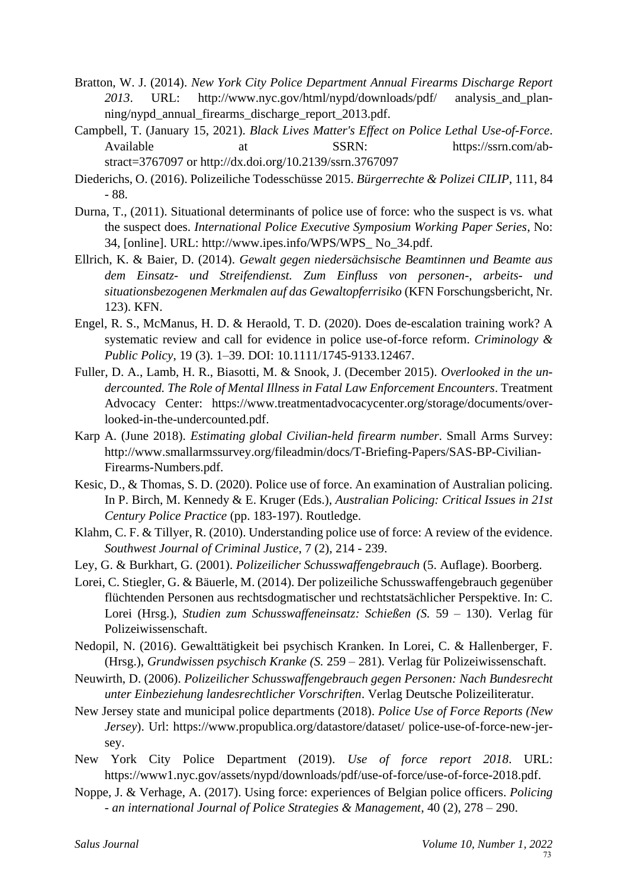- Bratton, W. J. (2014). *New York City Police Department Annual Firearms Discharge Report 2013*. URL: http://www.nyc.gov/html/nypd/downloads/pdf/ analysis\_and\_planning/nypd\_annual\_firearms\_discharge\_report\_2013.pdf.
- Campbell, T. (January 15, 2021). *Black Lives Matter's Effect on Police Lethal Use-of-Force*. Available at SSRN: [https://ssrn.com/ab](https://ssrn.com/abstract=3767097)[stract=3767097](https://ssrn.com/abstract=3767097) or [http://dx.doi.org/10.2139/ssrn.3767097](https://dx.doi.org/10.2139/ssrn.3767097)
- Diederichs, O. (2016). Polizeiliche Todesschüsse 2015. *Bürgerrechte & Polizei CILIP*, 111, 84 - 88.
- Durna, T., (2011). Situational determinants of police use of force: who the suspect is vs. what the suspect does. *International Police Executive Symposium Working Paper Series*, No: 34, [online]. URL: http://www.ipes.info/WPS/WPS\_ No\_34.pdf.
- Ellrich, K. & Baier, D. (2014). *Gewalt gegen niedersächsische Beamtinnen und Beamte aus dem Einsatz- und Streifendienst. Zum Einfluss von personen-, arbeits- und situationsbezogenen Merkmalen auf das Gewaltopferrisiko* (KFN Forschungsbericht, Nr. 123). KFN.
- Engel, R. S., McManus, H. D. & Heraold, T. D. (2020). Does de-escalation training work? A systematic review and call for evidence in police use-of-force reform. *Criminology & Public Policy*, 19 (3). 1–39. DOI: 10.1111/1745-9133.12467.
- Fuller, D. A., Lamb, H. R., Biasotti, M. & Snook, J. (December 2015). *Overlooked in the undercounted. The Role of Mental Illness in Fatal Law Enforcement Encounters*. Treatment Advocacy Center: https://www.treatmentadvocacycenter.org/storage/documents/overlooked-in-the-undercounted.pdf.
- Karp A. (June 2018). *Estimating global Civilian-held firearm number*. Small Arms Survey: http://www.smallarmssurvey.org/fileadmin/docs/T-Briefing-Papers/SAS-BP-Civilian-Firearms-Numbers.pdf.
- Kesic, D., & Thomas, S. D. (2020). Police use of force. An examination of Australian policing. In P. Birch, M. Kennedy & E. Kruger (Eds.), *Australian Policing: Critical Issues in 21st Century Police Practice* (pp. 183-197). Routledge.
- Klahm, C. F. & Tillyer, R. (2010). Understanding police use of force: A review of the evidence. *Southwest Journal of Criminal Justice*, 7 (2), 214 - 239.
- Ley, G. & Burkhart, G. (2001). *Polizeilicher Schusswaffengebrauch* (5. Auflage). Boorberg.
- Lorei, C. Stiegler, G. & Bäuerle, M. (2014). Der polizeiliche Schusswaffengebrauch gegenüber flüchtenden Personen aus rechtsdogmatischer und rechtstatsächlicher Perspektive. In: C. Lorei (Hrsg.), *Studien zum Schusswaffeneinsatz: Schießen (S.* 59 – 130). Verlag für Polizeiwissenschaft.
- Nedopil, N. (2016). Gewalttätigkeit bei psychisch Kranken. In Lorei, C. & Hallenberger, F. (Hrsg.), *Grundwissen psychisch Kranke (S.* 259 – 281). Verlag für Polizeiwissenschaft.
- Neuwirth, D. (2006). *Polizeilicher Schusswaffengebrauch gegen Personen: Nach Bundesrecht unter Einbeziehung landesrechtlicher Vorschriften*. Verlag Deutsche Polizeiliteratur.
- New Jersey state and municipal police departments (2018). *Police Use of Force Reports (New Jersey*). Url: https://www.propublica.org/datastore/dataset/ police-use-of-force-new-jersey.
- New York City Police Department (2019). *Use of force report 2018*. URL: https://www1.nyc.gov/assets/nypd/downloads/pdf/use-of-force/use-of-force-2018.pdf.
- Noppe, J. & Verhage, A. (2017). Using force: experiences of Belgian police officers. *Policing - an international Journal of Police Strategies & Management*, 40 (2), 278 – 290.